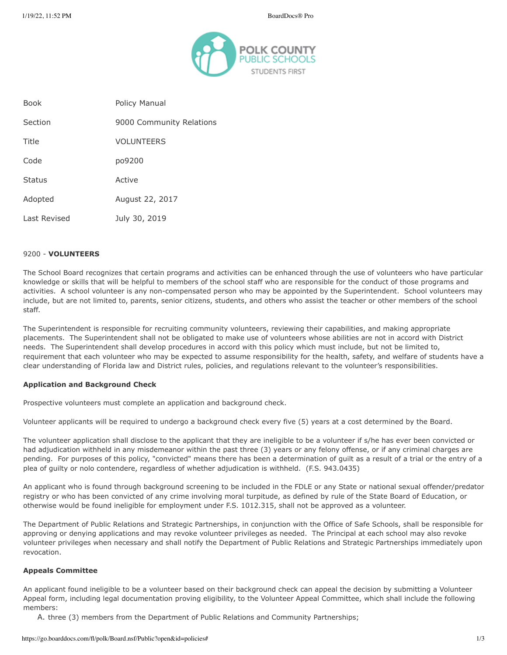

| <b>Book</b>   | Policy Manual            |
|---------------|--------------------------|
| Section       | 9000 Community Relations |
| Title         | <b>VOLUNTEERS</b>        |
| Code          | po9200                   |
| <b>Status</b> | Active                   |
| Adopted       | August 22, 2017          |
| Last Revised  | July 30, 2019            |

### 9200 - **VOLUNTEERS**

The School Board recognizes that certain programs and activities can be enhanced through the use of volunteers who have particular knowledge or skills that will be helpful to members of the school staff who are responsible for the conduct of those programs and activities. A school volunteer is any non-compensated person who may be appointed by the Superintendent. School volunteers may include, but are not limited to, parents, senior citizens, students, and others who assist the teacher or other members of the school staff.

The Superintendent is responsible for recruiting community volunteers, reviewing their capabilities, and making appropriate placements. The Superintendent shall not be obligated to make use of volunteers whose abilities are not in accord with District needs. The Superintendent shall develop procedures in accord with this policy which must include, but not be limited to, requirement that each volunteer who may be expected to assume responsibility for the health, safety, and welfare of students have a clear understanding of Florida law and District rules, policies, and regulations relevant to the volunteer's responsibilities.

#### **Application and Background Check**

Prospective volunteers must complete an application and background check.

Volunteer applicants will be required to undergo a background check every five (5) years at a cost determined by the Board.

The volunteer application shall disclose to the applicant that they are ineligible to be a volunteer if s/he has ever been convicted or had adjudication withheld in any misdemeanor within the past three (3) years or any felony offense, or if any criminal charges are pending. For purposes of this policy, "convicted" means there has been a determination of guilt as a result of a trial or the entry of a plea of guilty or nolo contendere, regardless of whether adjudication is withheld. (F.S. 943.0435)

An applicant who is found through background screening to be included in the FDLE or any State or national sexual offender/predator registry or who has been convicted of any crime involving moral turpitude, as defined by rule of the State Board of Education, or otherwise would be found ineligible for employment under F.S. 1012.315, shall not be approved as a volunteer.

The Department of Public Relations and Strategic Partnerships, in conjunction with the Office of Safe Schools, shall be responsible for approving or denying applications and may revoke volunteer privileges as needed. The Principal at each school may also revoke volunteer privileges when necessary and shall notify the Department of Public Relations and Strategic Partnerships immediately upon revocation.

#### **Appeals Committee**

An applicant found ineligible to be a volunteer based on their background check can appeal the decision by submitting a Volunteer Appeal form, including legal documentation proving eligibility, to the Volunteer Appeal Committee, which shall include the following members:

A. three (3) members from the Department of Public Relations and Community Partnerships;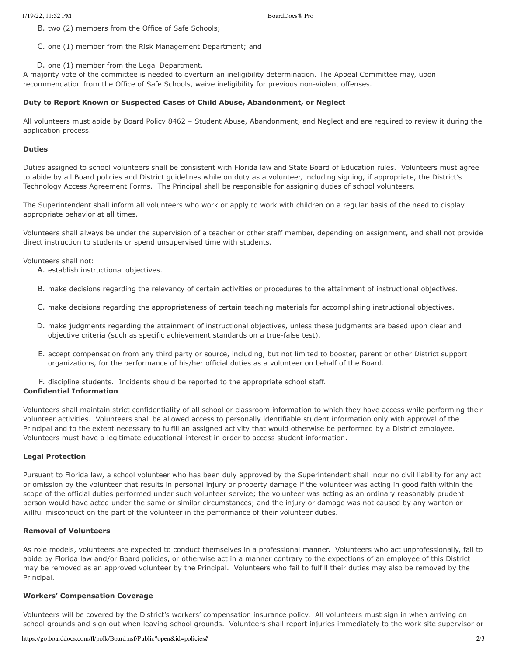B. two (2) members from the Office of Safe Schools;

C. one (1) member from the Risk Management Department; and

D. one (1) member from the Legal Department.

A majority vote of the committee is needed to overturn an ineligibility determination. The Appeal Committee may, upon recommendation from the Office of Safe Schools, waive ineligibility for previous non-violent offenses.

# **Duty to Report Known or Suspected Cases of Child Abuse, Abandonment, or Neglect**

All volunteers must abide by Board Policy 8462 – Student Abuse, Abandonment, and Neglect and are required to review it during the application process.

### **Duties**

Duties assigned to school volunteers shall be consistent with Florida law and State Board of Education rules. Volunteers must agree to abide by all Board policies and District guidelines while on duty as a volunteer, including signing, if appropriate, the District's Technology Access Agreement Forms. The Principal shall be responsible for assigning duties of school volunteers.

The Superintendent shall inform all volunteers who work or apply to work with children on a regular basis of the need to display appropriate behavior at all times.

Volunteers shall always be under the supervision of a teacher or other staff member, depending on assignment, and shall not provide direct instruction to students or spend unsupervised time with students.

Volunteers shall not:

- A. establish instructional objectives.
- B. make decisions regarding the relevancy of certain activities or procedures to the attainment of instructional objectives.
- C. make decisions regarding the appropriateness of certain teaching materials for accomplishing instructional objectives.
- D. make judgments regarding the attainment of instructional objectives, unless these judgments are based upon clear and objective criteria (such as specific achievement standards on a true-false test).
- E. accept compensation from any third party or source, including, but not limited to booster, parent or other District support organizations, for the performance of his/her official duties as a volunteer on behalf of the Board.
- F. discipline students. Incidents should be reported to the appropriate school staff.

# **Confidential Information**

Volunteers shall maintain strict confidentiality of all school or classroom information to which they have access while performing their volunteer activities. Volunteers shall be allowed access to personally identifiable student information only with approval of the Principal and to the extent necessary to fulfill an assigned activity that would otherwise be performed by a District employee. Volunteers must have a legitimate educational interest in order to access student information.

#### **Legal Protection**

Pursuant to Florida law, a school volunteer who has been duly approved by the Superintendent shall incur no civil liability for any act or omission by the volunteer that results in personal injury or property damage if the volunteer was acting in good faith within the scope of the official duties performed under such volunteer service; the volunteer was acting as an ordinary reasonably prudent person would have acted under the same or similar circumstances; and the injury or damage was not caused by any wanton or willful misconduct on the part of the volunteer in the performance of their volunteer duties.

#### **Removal of Volunteers**

As role models, volunteers are expected to conduct themselves in a professional manner. Volunteers who act unprofessionally, fail to abide by Florida law and/or Board policies, or otherwise act in a manner contrary to the expections of an employee of this District may be removed as an approved volunteer by the Principal. Volunteers who fail to fulfill their duties may also be removed by the Principal.

#### **Workers' Compensation Coverage**

Volunteers will be covered by the District's workers' compensation insurance policy. All volunteers must sign in when arriving on school grounds and sign out when leaving school grounds. Volunteers shall report injuries immediately to the work site supervisor or